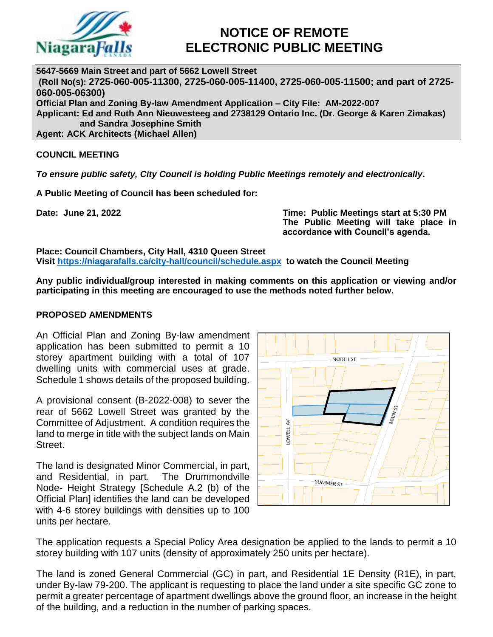

# **NOTICE OF REMOTE ELECTRONIC PUBLIC MEETING**

**5647-5669 Main Street and part of 5662 Lowell Street (Roll No(s): 2725-060-005-11300, 2725-060-005-11400, 2725-060-005-11500; and part of 2725- 060-005-06300) Official Plan and Zoning By-law Amendment Application – City File: AM-2022-007 Applicant: Ed and Ruth Ann Nieuwesteeg and 2738129 Ontario Inc. (Dr. George & Karen Zimakas) and Sandra Josephine Smith Agent: ACK Architects (Michael Allen)**

# **COUNCIL MEETING**

*To ensure public safety, City Council is holding Public Meetings remotely and electronically***.**

**A Public Meeting of Council has been scheduled for:**

**Date: June 21, 2022 Time: Public Meetings start at 5:30 PM The Public Meeting will take place in accordance with Council's agenda.**

**Place: Council Chambers, City Hall, 4310 Queen Street Visit<https://niagarafalls.ca/city-hall/council/schedule.aspx> to watch the Council Meeting** 

**Any public individual/group interested in making comments on this application or viewing and/or participating in this meeting are encouraged to use the methods noted further below.**

#### **PROPOSED AMENDMENTS**

An Official Plan and Zoning By-law amendment application has been submitted to permit a 10 storey apartment building with a total of 107 dwelling units with commercial uses at grade. Schedule 1 shows details of the proposed building.

A provisional consent (B-2022-008) to sever the rear of 5662 Lowell Street was granted by the Committee of Adjustment. A condition requires the land to merge in title with the subject lands on Main Street.

The land is designated Minor Commercial, in part, and Residential, in part. The Drummondville Node- Height Strategy [Schedule A.2 (b) of the Official Plan] identifies the land can be developed with 4-6 storey buildings with densities up to 100 units per hectare.



The application requests a Special Policy Area designation be applied to the lands to permit a 10 storey building with 107 units (density of approximately 250 units per hectare).

The land is zoned General Commercial (GC) in part, and Residential 1E Density (R1E), in part, under By-law 79-200. The applicant is requesting to place the land under a site specific GC zone to permit a greater percentage of apartment dwellings above the ground floor, an increase in the height of the building, and a reduction in the number of parking spaces.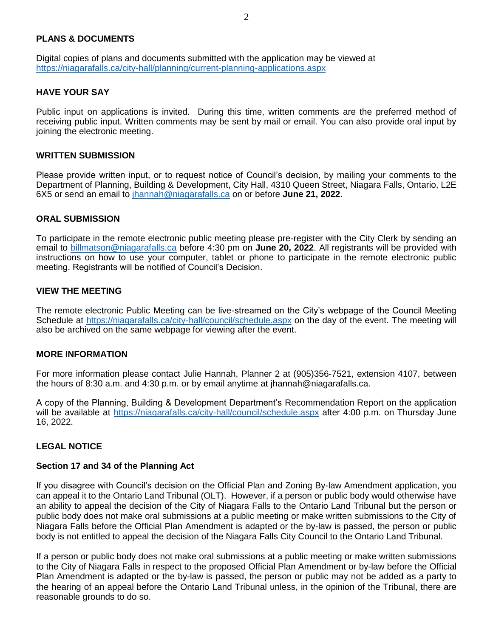## **PLANS & DOCUMENTS**

Digital copies of plans and documents submitted with the application may be viewed at <https://niagarafalls.ca/city-hall/planning/current-planning-applications.aspx>

#### **HAVE YOUR SAY**

Public input on applications is invited. During this time, written comments are the preferred method of receiving public input. Written comments may be sent by mail or email. You can also provide oral input by joining the electronic meeting.

#### **WRITTEN SUBMISSION**

Please provide written input, or to request notice of Council's decision, by mailing your comments to the Department of Planning, Building & Development, City Hall, 4310 Queen Street, Niagara Falls, Ontario, L2E 6X5 or send an email to [jhannah@niagarafalls.ca](mailto:jhannah@niagarafalls.ca) on or before **June 21, 2022**.

#### **ORAL SUBMISSION**

To participate in the remote electronic public meeting please pre-register with the City Clerk by sending an email to [billmatson@niagarafalls.ca](mailto:billmatson@niagarafalls.ca) before 4:30 pm on **June 20, 2022**. All registrants will be provided with instructions on how to use your computer, tablet or phone to participate in the remote electronic public meeting. Registrants will be notified of Council's Decision.

#### **VIEW THE MEETING**

The remote electronic Public Meeting can be live-streamed on the City's webpage of the Council Meeting Schedule at<https://niagarafalls.ca/city-hall/council/schedule.aspx> on the day of the event. The meeting will also be archived on the same webpage for viewing after the event.

#### **MORE INFORMATION**

For more information please contact Julie Hannah, Planner 2 at (905)356-7521, extension 4107, between the hours of 8:30 a.m. and 4:30 p.m. or by email anytime at jhannah@niagarafalls.ca.

A copy of the Planning, Building & Development Department's Recommendation Report on the application will be available at<https://niagarafalls.ca/city-hall/council/schedule.aspx> after 4:00 p.m. on Thursday June 16, 2022.

## **LEGAL NOTICE**

#### **Section 17 and 34 of the Planning Act**

If you disagree with Council's decision on the Official Plan and Zoning By-law Amendment application, you can appeal it to the Ontario Land Tribunal (OLT). However, if a person or public body would otherwise have an ability to appeal the decision of the City of Niagara Falls to the Ontario Land Tribunal but the person or public body does not make oral submissions at a public meeting or make written submissions to the City of Niagara Falls before the Official Plan Amendment is adapted or the by-law is passed, the person or public body is not entitled to appeal the decision of the Niagara Falls City Council to the Ontario Land Tribunal.

If a person or public body does not make oral submissions at a public meeting or make written submissions to the City of Niagara Falls in respect to the proposed Official Plan Amendment or by-law before the Official Plan Amendment is adapted or the by-law is passed, the person or public may not be added as a party to the hearing of an appeal before the Ontario Land Tribunal unless, in the opinion of the Tribunal, there are reasonable grounds to do so.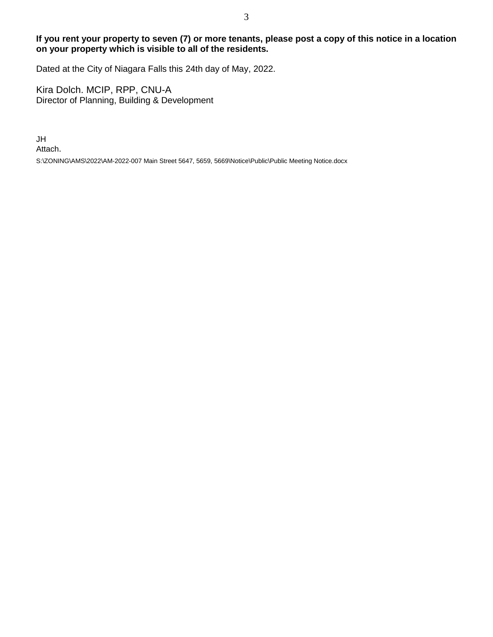# **If you rent your property to seven (7) or more tenants, please post a copy of this notice in a location on your property which is visible to all of the residents.**

Dated at the City of Niagara Falls this 24th day of May, 2022.

Kira Dolch. MCIP, RPP, CNU-A Director of Planning, Building & Development

JH Attach. S:\ZONING\AMS\2022\AM-2022-007 Main Street 5647, 5659, 5669\Notice\Public\Public Meeting Notice.docx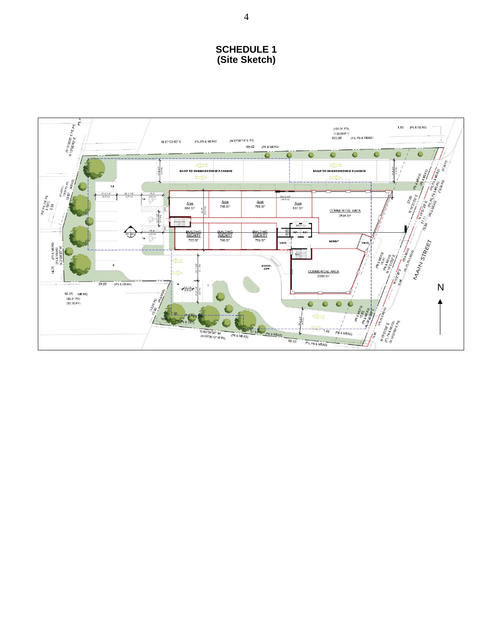# **SCHEDULE 1** (Site Sketch)